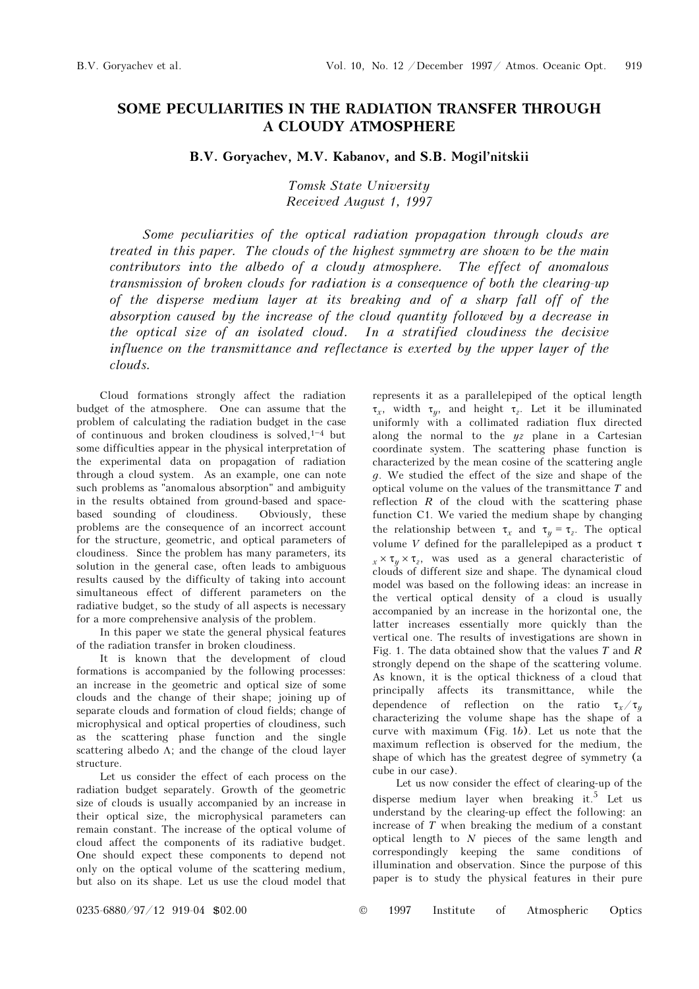## SOME PECULIARITIES IN THE RADIATION TRANSFER THROUGH A CLOUDY ATMOSPHERE

## B.V. Goryachev, M.V. Kabanov, and S.B. Mogil'nitskii

## Tomsk State University Received August 1, 1997

Some peculiarities of the optical radiation propagation through clouds are treated in this paper. The clouds of the highest symmetry are shown to be the main contributors into the albedo of a cloudy atmosphere. The effect of anomalous transmission of broken clouds for radiation is a consequence of both the clearing-up of the disperse medium layer at its breaking and of a sharp fall off of the absorption caused by the increase of the cloud quantity followed by a decrease in the optical size of an isolated cloud. In a stratified cloudiness the decisive influence on the transmittance and reflectance is exerted by the upper layer of the clouds.

Cloud formations strongly affect the radiation budget of the atmosphere. One can assume that the problem of calculating the radiation budget in the case of continuous and broken cloudiness is solved,  $1-4$  but some difficulties appear in the physical interpretation of the experimental data on propagation of radiation through a cloud system. As an example, one can note such problems as "anomalous absorption" and ambiguity in the results obtained from ground-based and spacebased sounding of cloudiness. Obviously, these problems are the consequence of an incorrect account for the structure, geometric, and optical parameters of cloudiness. Since the problem has many parameters, its solution in the general case, often leads to ambiguous results caused by the difficulty of taking into account simultaneous effect of different parameters on the radiative budget, so the study of all aspects is necessary for a more comprehensive analysis of the problem.

In this paper we state the general physical features of the radiation transfer in broken cloudiness.

It is known that the development of cloud formations is accompanied by the following processes: an increase in the geometric and optical size of some clouds and the change of their shape; joining up of separate clouds and formation of cloud fields; change of microphysical and optical properties of cloudiness, such as the scattering phase function and the single scattering albedo  $\Lambda$ ; and the change of the cloud layer structure.

Let us consider the effect of each process on the radiation budget separately. Growth of the geometric size of clouds is usually accompanied by an increase in their optical size, the microphysical parameters can remain constant. The increase of the optical volume of cloud affect the components of its radiative budget. One should expect these components to depend not only on the optical volume of the scattering medium, but also on its shape. Let us use the cloud model that represents it as a parallelepiped of the optical length  $\tau_x$ , width  $\tau_y$ , and height  $\tau_z$ . Let it be illuminated uniformly with a collimated radiation flux directed along the normal to the  $yz$  plane in a Cartesian coordinate system. The scattering phase function is characterized by the mean cosine of the scattering angle g. We studied the effect of the size and shape of the optical volume on the values of the transmittance T and reflection  $R$  of the cloud with the scattering phase function C1. We varied the medium shape by changing the relationship between  $\tau_x$  and  $\tau_y = \tau_z$ . The optical volume *V* defined for the parallelepiped as a product  $τ$  $x \times \tau_y \times \tau_z$ , was used as a general characteristic of clouds of different size and shape. The dynamical cloud model was based on the following ideas: an increase in the vertical optical density of a cloud is usually accompanied by an increase in the horizontal one, the latter increases essentially more quickly than the vertical one. The results of investigations are shown in Fig. 1. The data obtained show that the values  $T$  and  $R$ strongly depend on the shape of the scattering volume. As known, it is the optical thickness of a cloud that principally affects its transmittance, while the dependence of reflection on the ratio  $\tau_x/\tau_y$ characterizing the volume shape has the shape of a curve with maximum (Fig. 1b). Let us note that the maximum reflection is observed for the medium, the shape of which has the greatest degree of symmetry (a cube in our case).

Let us now consider the effect of clearing-up of the disperse medium layer when breaking it.<sup>5</sup> Let us understand by the clearing-up effect the following: an increase of T when breaking the medium of a constant optical length to  $N$  pieces of the same length and correspondingly keeping the same conditions of illumination and observation. Since the purpose of this paper is to study the physical features in their pure

0235-6880/97/12 919-04 \$02.00 © 1997 Institute of Atmospheric Optics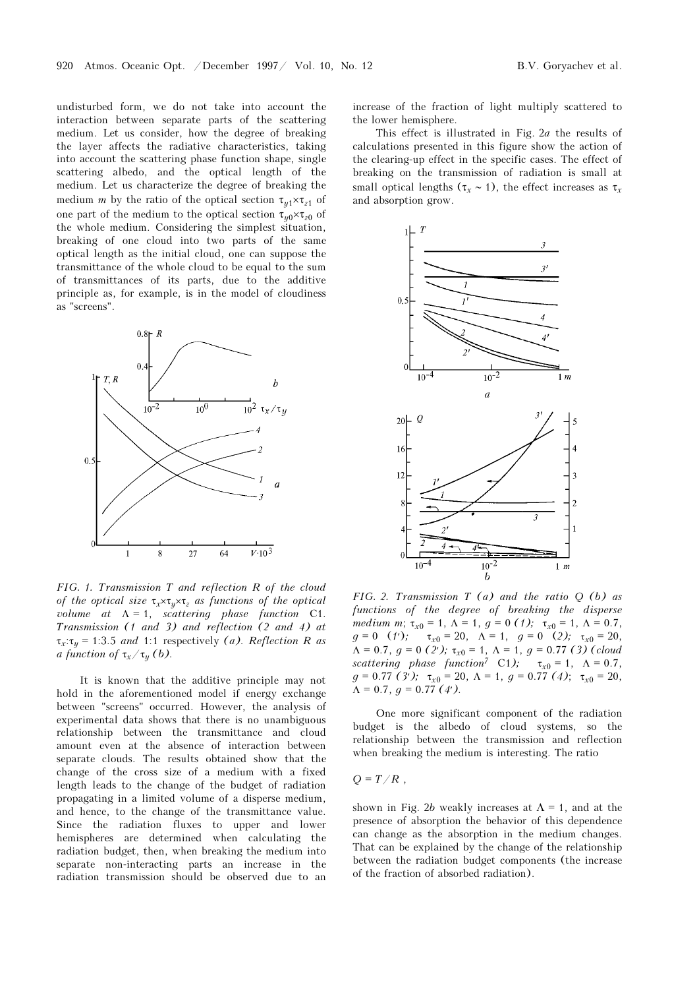undisturbed form, we do not take into account the interaction between separate parts of the scattering medium. Let us consider, how the degree of breaking the layer affects the radiative characteristics, taking into account the scattering phase function shape, single scattering albedo, and the optical length of the medium. Let us characterize the degree of breaking the medium m by the ratio of the optical section  $\tau_{u1} \times \tau_{z1}$  of one part of the medium to the optical section  $\tau_{\nu 0} \times \tau_{\nu 0}$  of the whole medium. Considering the simplest situation, breaking of one cloud into two parts of the same optical length as the initial cloud, one can suppose the transmittance of the whole cloud to be equal to the sum of transmittances of its parts, due to the additive principle as, for example, is in the model of cloudiness as "screens".



FIG. 1. Transmission T and reflection R of the cloud of the optical size  $\tau_x \times \tau_y \times \tau_z$  as functions of the optical volume at  $\Lambda = 1$ , scattering phase function C1. Transmission (1 and 3) and reflection (2 and 4) at  $\tau_x:\tau_y = 1:3.5$  and 1:1 respectively (a). Reflection R as a function of  $\tau_x/\tau_y$  (b).

It is known that the additive principle may not hold in the aforementioned model if energy exchange between "screens" occurred. However, the analysis of experimental data shows that there is no unambiguous relationship between the transmittance and cloud amount even at the absence of interaction between separate clouds. The results obtained show that the change of the cross size of a medium with a fixed length leads to the change of the budget of radiation propagating in a limited volume of a disperse medium, and hence, to the change of the transmittance value. Since the radiation fluxes to upper and lower hemispheres are determined when calculating the radiation budget, then, when breaking the medium into separate non-interacting parts an increase in the radiation transmission should be observed due to an increase of the fraction of light multiply scattered to the lower hemisphere.

This effect is illustrated in Fig. 2a the results of calculations presented in this figure show the action of the clearing-up effect in the specific cases. The effect of breaking on the transmission of radiation is small at small optical lengths ( $\tau_r \sim 1$ ), the effect increases as  $\tau_r$ and absorption grow.



FIG. 2. Transmission  $T(a)$  and the ratio  $Q(b)$  as functions of the degree of breaking the disperse medium m;  $\tau_{x0} = 1$ ,  $\Lambda = 1$ ,  $g = 0$  (1);  $\tau_{x0} = 1$ ,  $\Lambda = 0.7$ ,  $g = 0$  (*t'*);  $\tau_{x0} = 20$ ,  $\Lambda = 1$ ,  $g = 0$  (2);  $\tau_{x0} = 20$ ,  $\Lambda = 0.7$ ,  $g = 0$  (2');  $\tau_{x0} = 1$ ,  $\Lambda = 1$ ,  $g = 0.77$  (3) (cloud scattering phase function<sup>7</sup> C1);  $\tau_{x0} = 1$ ,  $\Lambda = 0.7$ ,  $g = 0.77$  (3');  $\tau_{x0} = 20$ ,  $\Lambda = 1$ ,  $g = 0.77$  (4);  $\tau_{x0} = 20$ ,  $\Lambda = 0.7$ ,  $q = 0.77(4)$ .

One more significant component of the radiation budget is the albedo of cloud systems, so the relationship between the transmission and reflection when breaking the medium is interesting. The ratio

 $Q = T/R$ .

shown in Fig. 2b weakly increases at  $\Lambda = 1$ , and at the presence of absorption the behavior of this dependence can change as the absorption in the medium changes. That can be explained by the change of the relationship between the radiation budget components (the increase of the fraction of absorbed radiation).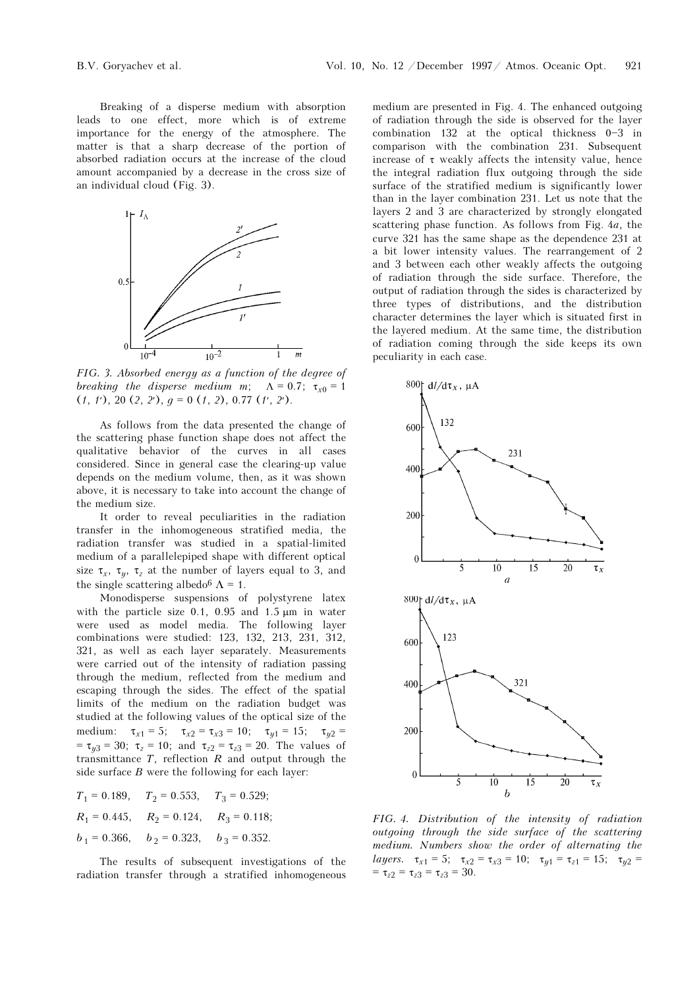Breaking of a disperse medium with absorption leads to one effect, more which is of extreme importance for the energy of the atmosphere. The matter is that a sharp decrease of the portion of absorbed radiation occurs at the increase of the cloud amount accompanied by a decrease in the cross size of an individual cloud (Fig. 3).



FIG. 3. Absorbed energy as a function of the degree of breaking the disperse medium m;  $\Lambda = 0.7$ ;  $\tau_{x0} = 1$  $(1, t)$ , 20  $(2, 2)$ ,  $q = 0$   $(1, 2)$ , 0.77  $(t', 2')$ .

As follows from the data presented the change of the scattering phase function shape does not affect the qualitative behavior of the curves in all cases considered. Since in general case the clearing-up value depends on the medium volume, then, as it was shown above, it is necessary to take into account the change of the medium size.

It order to reveal peculiarities in the radiation transfer in the inhomogeneous stratified media, the radiation transfer was studied in a spatial-limited medium of a parallelepiped shape with different optical size  $\tau_x$ ,  $\tau_y$ ,  $\tau_z$  at the number of layers equal to 3, and the single scattering albedo<sup>6</sup>  $\Lambda$  = 1.

Monodisperse suspensions of polystyrene latex with the particle size 0.1, 0.95 and 1.5  $\mu$ m in water were used as model media. The following layer combinations were studied: 123, 132, 213, 231, 312, 321, as well as each layer separately. Measurements were carried out of the intensity of radiation passing through the medium, reflected from the medium and escaping through the sides. The effect of the spatial limits of the medium on the radiation budget was studied at the following values of the optical size of the medium:  $\tau_{x1} = 5$ ;  $\tau_{x2} = \tau_{x3} = 10$ ;  $\tau_{y1} = 15$ ;  $\tau_{y2} =$ =  $\tau_{y3}$  = 30;  $\tau_z$  = 10; and  $\tau_{z2}$  =  $\tau_{z3}$  = 20. The values of transmittance  $T$ , reflection  $R$  and output through the side surface  $B$  were the following for each layer:

$$
T_1 = 0.189,
$$
  $T_2 = 0.553,$   $T_3 = 0.529;$   
\n $R_1 = 0.445,$   $R_2 = 0.124,$   $R_3 = 0.118;$   
\n $b_1 = 0.366,$   $b_2 = 0.323,$   $b_3 = 0.352.$ 

The results of subsequent investigations of the radiation transfer through a stratified inhomogeneous medium are presented in Fig. 4. The enhanced outgoing of radiation through the side is observed for the layer combination 132 at the optical thickness  $0-3$  in comparison with the combination 231. Subsequent increase of  $\tau$  weakly affects the intensity value, hence the integral radiation flux outgoing through the side surface of the stratified medium is significantly lower than in the layer combination 231. Let us note that the layers 2 and 3 are characterized by strongly elongated scattering phase function. As follows from Fig. 4a, the curve 321 has the same shape as the dependence 231 at a bit lower intensity values. The rearrangement of 2 and 3 between each other weakly affects the outgoing of radiation through the side surface. Therefore, the output of radiation through the sides is characterized by three types of distributions, and the distribution character determines the layer which is situated first in the layered medium. At the same time, the distribution of radiation coming through the side keeps its own peculiarity in each case.



FIG. 4. Distribution of the intensity of radiation outgoing through the side surface of the scattering medium. Numbers show the order of alternating the layers.  $\tau_{x1} = 5$ ;  $\tau_{x2} = \tau_{x3} = 10$ ;  $\tau_{y1} = \tau_{z1} = 15$ ;  $\tau_{y2} =$  $=\tau_{z2} = \tau_{z3} = \tau_{z3} = 30.$